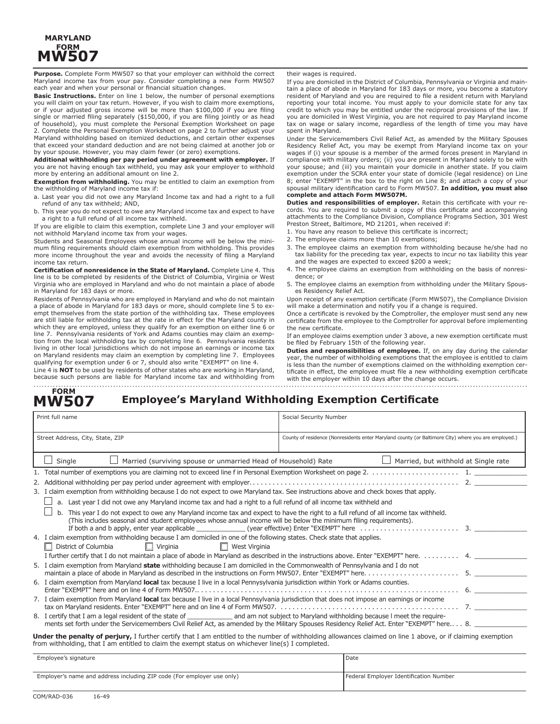## **MARYLAND FORM MW507**

**Purpose.** Complete Form MW507 so that your employer can withhold the correct Maryland income tax from your pay. Consider completing a new Form MW507 each year and when your personal or financial situation changes.

**Basic Instructions.** Enter on line 1 below, the number of personal exemptions you will claim on your tax return. However, if you wish to claim more exemptions, or if your adjusted gross income will be more than \$100,000 if you are filing single or married filing separately (\$150,000, if you are filing jointly or as head of household), you must complete the Personal Exemption Worksheet on page 2. Complete the Personal Exemption Worksheet on page 2 to further adjust your Maryland withholding based on itemized deductions, and certain other expenses that exceed your standard deduction and are not being claimed at another job or by your spouse. However, you may claim fewer (or zero) exemptions.

**Additional withholding per pay period under agreement with employer.** If you are not having enough tax withheld, you may ask your employer to withhold more by entering an additional amount on line 2.

**Exemption from withholding.** You may be entitled to claim an exemption from the withholding of Maryland income tax if:

a. Last year you did not owe any Maryland Income tax and had a right to a full refund of any tax withheld; AND,

b. This year you do not expect to owe any Maryland income tax and expect to have a right to a full refund of all income tax withheld.

If you are eligible to claim this exemption, complete Line 3 and your employer will not withhold Maryland income tax from your wages.

Students and Seasonal Employees whose annual income will be below the minimum filing requirements should claim exemption from withholding. This provides more income throughout the year and avoids the necessity of filing a Maryland income tax return.

**Certification of nonresidence in the State of Maryland.** Complete Line 4. This line is to be completed by residents of the District of Columbia, Virginia or West Virginia who are employed in Maryland and who do not maintain a place of abode in Maryland for 183 days or more.

Residents of Pennsylvania who are employed in Maryland and who do not maintain a place of abode in Maryland for 183 days or more, should complete line 5 to exempt themselves from the state portion of the withholding tax. These employees are still liable for withholding tax at the rate in effect for the Maryland county in which they are employed, unless they qualify for an exemption on either line 6 or line 7. Pennsylvania residents of York and Adams counties may claim an exemption from the local withholding tax by completing line 6. Pennsylvania residents living in other local jurisdictions which do not impose an earnings or income tax on Maryland residents may claim an exemption by completing line 7. Employees qualifying for exemption under 6 or 7, should also write "EXEMPT" on line 4. Line 4 is **NOT** to be used by residents of other states who are working in Maryland,

because such persons are liable for Maryland income tax and withholding from

their wages is required.

If you are domiciled in the District of Columbia, Pennsylvania or Virginia and maintain a place of abode in Maryland for 183 days or more, you become a statutory resident of Maryland and you are required to file a resident return with Maryland reporting your total income. You must apply to your domicile state for any tax credit to which you may be entitled under the reciprocal provisions of the law. If you are domiciled in West Virginia, you are not required to pay Maryland income tax on wage or salary income, regardless of the length of time you may have spent in Maryland.

Under the Servicemembers Civil Relief Act, as amended by the Military Spouses Residency Relief Act, you may be exempt from Maryland income tax on your wages if (i) your spouse is a member of the armed forces present in Maryland in compliance with military orders; (ii) you are present in Maryland solely to be with your spouse; and (iii) you maintain your domicile in another state. If you claim exemption under the SCRA enter your state of domicile (legal residence) on Line 8; enter "EXEMPT" in the box to the right on Line 8; and attach a copy of your spousal military identification card to Form MW507. **In addition, you must also complete and attach Form MW507M.**

**Duties and responsibilities of employer.** Retain this certificate with your records. You are required to submit a copy of this certificate and accompanying attachments to the Compliance Division, Compliance Programs Section, 301 West Preston Street, Baltimore, MD 21201, when received if:

- 1. You have any reason to believe this certificate is incorrect;
- 2. The employee claims more than 10 exemptions;
- 3. The employee claims an exemption from withholding because he/she had no tax liability for the preceding tax year, expects to incur no tax liability this year and the wages are expected to exceed \$200 a week;
- 4. The employee claims an exemption from withholding on the basis of nonresidence; or
- 5. The employee claims an exemption from withholding under the Military Spouses Residency Relief Act.

Upon receipt of any exemption certificate (Form MW507), the Compliance Division will make a determination and notify you if a change is required.

Once a certificate is revoked by the Comptroller, the employer must send any new certificate from the employee to the Comptroller for approval before implementing the new certificate.

If an employee claims exemption under 3 above, a new exemption certificate must be filed by February 15th of the following year.

**Duties and responsibilities of employee.** If, on any day during the calendar year, the number of withholding exemptions that the employee is entitled to claim is less than the number of exemptions claimed on the withholding exemption certificate in effect, the employee must file a new withholding exemption certificate with the employer within 10 days after the change occurs.

#### **Employee's Maryland Withholding Exemption Certificate FORM MW507**

| Print full name                                                                                                                                                     |                                                                                                                                                                                                                                                                                                                                                                                      | Social Security Number                                                                               |  |  |  |  |
|---------------------------------------------------------------------------------------------------------------------------------------------------------------------|--------------------------------------------------------------------------------------------------------------------------------------------------------------------------------------------------------------------------------------------------------------------------------------------------------------------------------------------------------------------------------------|------------------------------------------------------------------------------------------------------|--|--|--|--|
| Street Address, City, State, ZIP                                                                                                                                    |                                                                                                                                                                                                                                                                                                                                                                                      | County of residence (Nonresidents enter Maryland county (or Baltimore City) where you are employed.) |  |  |  |  |
|                                                                                                                                                                     | Married (surviving spouse or unmarried Head of Household) Rate<br>Single                                                                                                                                                                                                                                                                                                             | Married, but withhold at Single rate                                                                 |  |  |  |  |
|                                                                                                                                                                     |                                                                                                                                                                                                                                                                                                                                                                                      |                                                                                                      |  |  |  |  |
|                                                                                                                                                                     |                                                                                                                                                                                                                                                                                                                                                                                      |                                                                                                      |  |  |  |  |
|                                                                                                                                                                     | 3. I claim exemption from withholding because I do not expect to owe Maryland tax. See instructions above and check boxes that apply.                                                                                                                                                                                                                                                |                                                                                                      |  |  |  |  |
|                                                                                                                                                                     | a. Last year I did not owe any Maryland income tax and had a right to a full refund of all income tax withheld and                                                                                                                                                                                                                                                                   |                                                                                                      |  |  |  |  |
|                                                                                                                                                                     | This year I do not expect to owe any Maryland income tax and expect to have the right to a full refund of all income tax withheld.<br>(This includes seasonal and student employees whose annual income will be below the minimum filing requirements).<br>If both a and b apply, enter year applicable $(year$ effective) Enter "EXEMPT" here $\dots\dots\dots\dots\dots\dots\dots$ |                                                                                                      |  |  |  |  |
|                                                                                                                                                                     | 4. I claim exemption from withholding because I am domiciled in one of the following states. Check state that applies.                                                                                                                                                                                                                                                               |                                                                                                      |  |  |  |  |
|                                                                                                                                                                     | $\Box$ Virginia<br>$\Box$ West Virginia<br>District of Columbia                                                                                                                                                                                                                                                                                                                      |                                                                                                      |  |  |  |  |
|                                                                                                                                                                     | I further certify that I do not maintain a place of abode in Maryland as described in the instructions above. Enter "EXEMPT" here. 4.                                                                                                                                                                                                                                                |                                                                                                      |  |  |  |  |
|                                                                                                                                                                     | 5. I claim exemption from Maryland state withholding because I am domiciled in the Commonwealth of Pennsylvania and I do not                                                                                                                                                                                                                                                         |                                                                                                      |  |  |  |  |
|                                                                                                                                                                     | 6. I claim exemption from Maryland local tax because I live in a local Pennysylvania jurisdiction within York or Adams counties.                                                                                                                                                                                                                                                     |                                                                                                      |  |  |  |  |
|                                                                                                                                                                     | 7. I claim exemption from Maryland local tax because I live in a local Pennsylvania jurisdiction that does not impose an earnings or income                                                                                                                                                                                                                                          |                                                                                                      |  |  |  |  |
|                                                                                                                                                                     | 8. I certify that I am a legal resident of the state of entity and am not subject to Maryland withholding because I meet the require-<br>ments set forth under the Servicemembers Civil Relief Act, as amended by the Military Spouses Residency Relief Act. Enter "EXEMPT" here 8.                                                                                                  |                                                                                                      |  |  |  |  |
| <b>Under the penalty of perjury,</b> I further certify that I am entitled to the number of withholding allowances claimed on line 1 above, or if claiming exemption |                                                                                                                                                                                                                                                                                                                                                                                      |                                                                                                      |  |  |  |  |

**Under the penalty of perjury,** I further certify that I am entitled to the number of withholding allowances claimed on line 1 above, or if claiming exemption from withholding, that I am entitled to claim the exempt status on whichever line(s) I completed.

| l Date                                 |  |
|----------------------------------------|--|
|                                        |  |
| Federal Employer Identification Number |  |
|                                        |  |